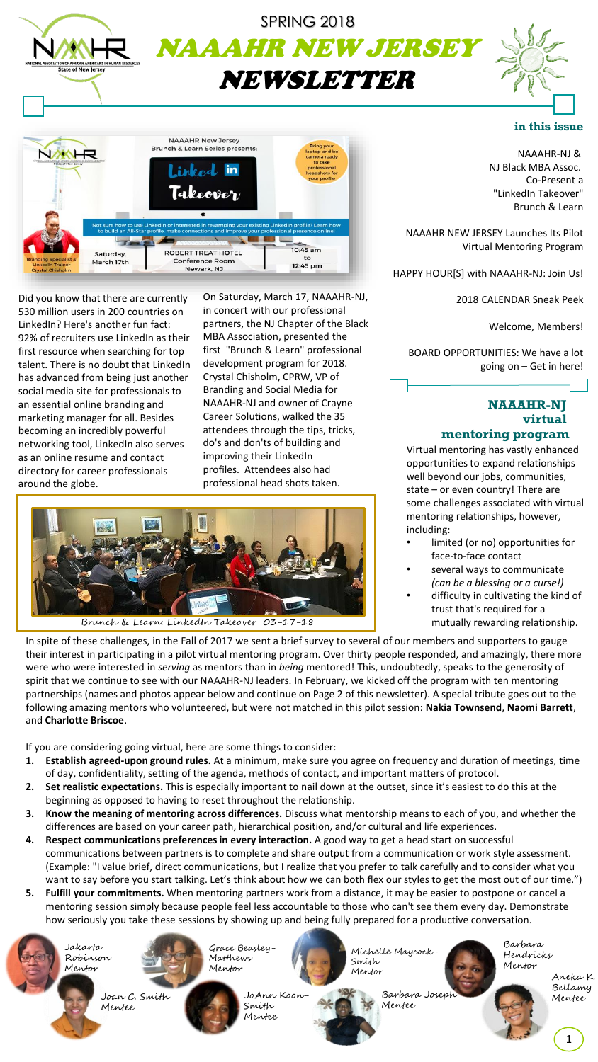



Did you know that there are currently 530 million users in 200 countries on LinkedIn? Here's another fun fact: 92% of recruiters use LinkedIn as their first resource when searching for top talent. There is no doubt that LinkedIn has advanced from being just another social media site for professionals to an essential online branding and marketing manager for all. Besides becoming an incredibly powerful networking tool, LinkedIn also serves as an online resume and contact directory for career professionals around the globe.

On Saturday, March 17, NAAAHR-NJ, in concert with our professional partners, the NJ Chapter of the Black MBA Association, presented the first "Brunch & Learn" professional development program for 2018. Crystal Chisholm, CPRW, VP of Branding and Social Media for NAAAHR-NJ and owner of Crayne Career Solutions, walked the 35 attendees through the tips, tricks, do's and don'ts of building and improving their LinkedIn profiles. Attendees also had professional head shots taken.



In spite of these challenges, in the Fall of 2017 we sent a brief survey to several of our members and supporters to gauge their interest in participating in a pilot virtual mentoring program. Over thirty people responded, and amazingly, there more were who were interested in *serving* as mentors than in *being* mentored! This, undoubtedly, speaks to the generosity of spirit that we continue to see with our NAAAHR-NJ leaders. In February, we kicked off the program with ten mentoring partnerships (names and photos appear below and continue on Page 2 of this newsletter). A special tribute goes out to the following amazing mentors who volunteered, but were not matched in this pilot session: **Nakia Townsend**, **Naomi Barrett**, and **Charlotte Briscoe**.

If you are considering going virtual, here are some things to consider:

- **1. Establish agreed-upon ground rules.** At a minimum, make sure you agree on frequency and duration of meetings, time of day, confidentiality, setting of the agenda, methods of contact, and important matters of protocol.
- **2. Set realistic expectations.** This is especially important to nail down at the outset, since it's easiest to do this at the beginning as opposed to having to reset throughout the relationship.
- **3. Know the meaning of mentoring across differences.** Discuss what mentorship means to each of you, and whether the differences are based on your career path, hierarchical position, and/or cultural and life experiences.
- **4. Respect communications preferences in every interaction.** A good way to get a head start on successful communications between partners is to complete and share output from a communication or work style assessment. (Example: "I value brief, direct communications, but I realize that you prefer to talk carefully and to consider what you want to say before you start talking. Let's think about how we can both flex our styles to get the most out of our time.")
- **5. Fulfill your commitments.** When mentoring partners work from a distance, it may be easier to postpone or cancel a mentoring session simply because people feel less accountable to those who can't see them every day. Demonstrate how seriously you take these sessions by showing up and being fully prepared for a productive conversation.

Jakarta Robinson Mentor



Mentee

Grace Beasley-Matthews Mentor

> JoAnn Koon-Smith Mentee



Michelle Maycock-Smith Mentor

> Barbara Joseph Mentee

Barbara Hendricks Mentor

Aneka K. Bellamy Mentee

NAAAHR-NJ & NJ Black MBA Assoc. Co-Present a "LinkedIn Takeover" Brunch & Learn

NAAAHR NEW JERSEY Launches Its Pilot Virtual Mentoring Program

HAPPY HOUR[S] with NAAAHR-NJ: Join Us!

2018 CALENDAR Sneak Peek

Welcome, Members!

BOARD OPPORTUNITIES: We have a lot going on – Get in here!

### **NAAAHR-NJ virtual mentoring program**

Virtual mentoring has vastly enhanced opportunities to expand relationships well beyond our jobs, communities, state – or even country! There are some challenges associated with virtual mentoring relationships, however, including:

- limited (or no) opportunities for face-to-face contact
- several ways to communicate *(can be a blessing or a curse!)*
- difficulty in cultivating the kind of trust that's required for a mutually rewarding relationship.

1